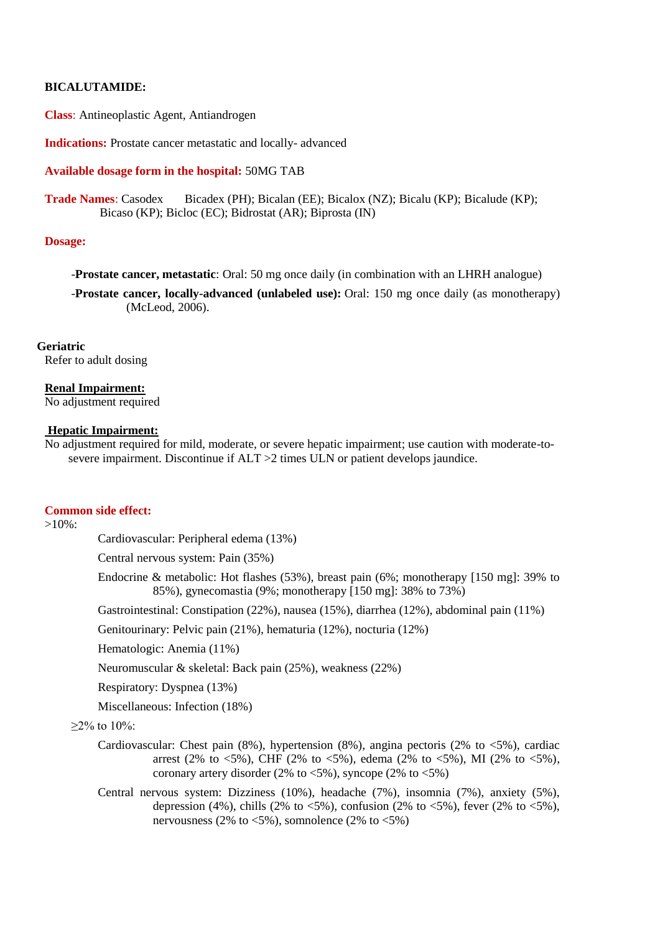## **BICALUTAMIDE:**

**Class**: Antineoplastic Agent, Antiandrogen

**Indications:** Prostate cancer metastatic and locally- advanced

### **Available dosage form in the hospital:** 50MG TAB

**Trade Names**: Casodex Bicadex (PH); Bicalan (EE); Bicalox (NZ); Bicalu (KP); Bicalude (KP); Bicaso (KP); Bicloc (EC); Bidrostat (AR); Biprosta (IN)

#### **Dosage:**

-**Prostate cancer, metastatic**: Oral: 50 mg once daily (in combination with an LHRH analogue)

-**Prostate cancer, locally-advanced (unlabeled use):** Oral: 150 mg once daily (as monotherapy) (McLeod, 2006).

**Geriatric** Refer to adult dosing

## **Renal Impairment:**

No adjustment required

# **Hepatic Impairment:**

No adjustment required for mild, moderate, or severe hepatic impairment; use caution with moderate-tosevere impairment. Discontinue if ALT >2 times ULN or patient develops jaundice.

#### **Common side effect:**

 $>10\%$ :

Cardiovascular: Peripheral edema (13%)

Central nervous system: Pain (35%)

Endocrine & metabolic: Hot flashes (53%), breast pain (6%; monotherapy [150 mg]: 39% to 85%), gynecomastia (9%; monotherapy [150 mg]: 38% to 73%)

Gastrointestinal: Constipation (22%), nausea (15%), diarrhea (12%), abdominal pain (11%)

Genitourinary: Pelvic pain (21%), hematuria (12%), nocturia (12%)

Hematologic: Anemia (11%)

Neuromuscular & skeletal: Back pain (25%), weakness (22%)

Respiratory: Dyspnea (13%)

Miscellaneous: Infection (18%)

# $>2\%$  to  $10\%$

- Cardiovascular: Chest pain  $(8\%)$ , hypertension  $(8\%)$ , angina pectoris  $(2\%$  to  $\lt 5\%)$ , cardiac arrest (2% to  $\langle 5\% \rangle$ , CHF (2% to  $\langle 5\% \rangle$ , edema (2% to  $\langle 5\% \rangle$ , MI (2% to  $\langle 5\% \rangle$ ), coronary artery disorder (2% to  $\langle 5\%$ ), syncope (2% to  $\langle 5\% \rangle$ )
- Central nervous system: Dizziness (10%), headache (7%), insomnia (7%), anxiety (5%), depression (4%), chills (2% to  $\langle 5\%$ ), confusion (2% to  $\langle 5\%$ ), fever (2% to  $\langle 5\%$ ), nervousness (2% to  $\langle 5\% \rangle$ , somnolence (2% to  $\langle 5\% \rangle$ )